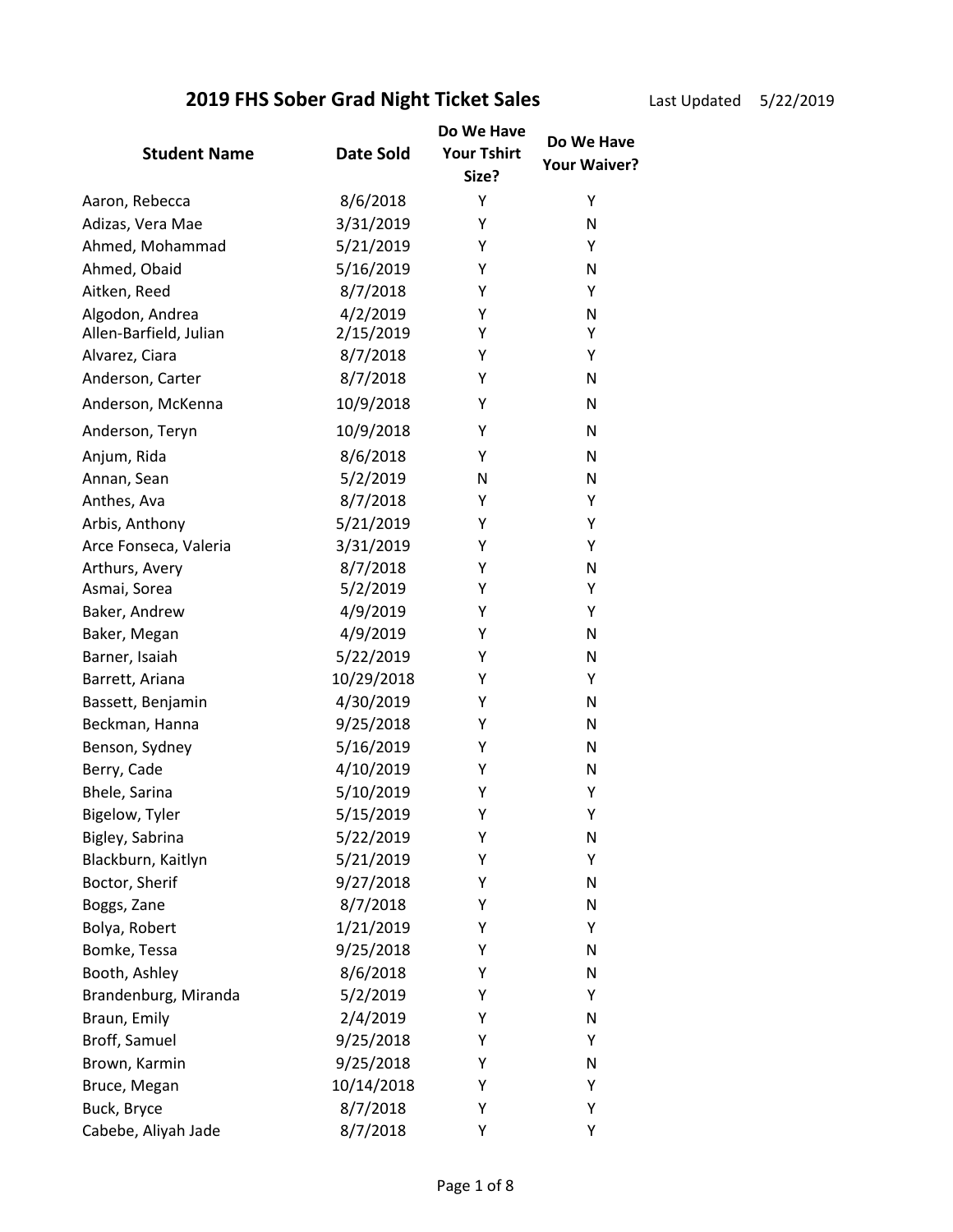### **2019 FHS Sober Grad Night Ticket Sales** Last Updated 5/22/2019

| <b>Student Name</b>    | Date Sold  | Do We Have<br><b>Your Tshirt</b><br>Size? | Do We Have<br>Your Waiver? |
|------------------------|------------|-------------------------------------------|----------------------------|
| Aaron, Rebecca         | 8/6/2018   | Y                                         | Υ                          |
| Adizas, Vera Mae       | 3/31/2019  | Y                                         | N                          |
| Ahmed, Mohammad        | 5/21/2019  | Y                                         | Υ                          |
| Ahmed, Obaid           | 5/16/2019  | Y                                         | N                          |
| Aitken, Reed           | 8/7/2018   | Υ                                         | Υ                          |
| Algodon, Andrea        | 4/2/2019   | Υ                                         | N                          |
| Allen-Barfield, Julian | 2/15/2019  | Y                                         | Υ                          |
| Alvarez, Ciara         | 8/7/2018   | Υ                                         | Υ                          |
| Anderson, Carter       | 8/7/2018   | Y                                         | N                          |
| Anderson, McKenna      | 10/9/2018  | Y                                         | N                          |
| Anderson, Teryn        | 10/9/2018  | Υ                                         | N                          |
| Anjum, Rida            | 8/6/2018   | Υ                                         | N                          |
| Annan, Sean            | 5/2/2019   | N                                         | N                          |
| Anthes, Ava            | 8/7/2018   | Y                                         | Υ                          |
| Arbis, Anthony         | 5/21/2019  | Υ                                         | Υ                          |
| Arce Fonseca, Valeria  | 3/31/2019  | Y                                         | Υ                          |
| Arthurs, Avery         | 8/7/2018   | Υ                                         | N                          |
| Asmai, Sorea           | 5/2/2019   | Y                                         | Υ                          |
| Baker, Andrew          | 4/9/2019   | Y                                         | Υ                          |
| Baker, Megan           | 4/9/2019   | Υ                                         | N                          |
| Barner, Isaiah         | 5/22/2019  | Υ                                         | N                          |
| Barrett, Ariana        | 10/29/2018 | Y                                         | Υ                          |
| Bassett, Benjamin      | 4/30/2019  | Υ                                         | N                          |
| Beckman, Hanna         | 9/25/2018  | Y                                         | N                          |
| Benson, Sydney         | 5/16/2019  | Υ                                         | N                          |
| Berry, Cade            | 4/10/2019  | Y                                         | N                          |
| Bhele, Sarina          | 5/10/2019  | Υ                                         | Υ                          |
| Bigelow, Tyler         | 5/15/2019  | Υ                                         | Υ                          |
| Bigley, Sabrina        | 5/22/2019  | Υ                                         | N                          |
| Blackburn, Kaitlyn     | 5/21/2019  | Υ                                         | Υ                          |
| Boctor, Sherif         | 9/27/2018  | Y                                         | N                          |
| Boggs, Zane            | 8/7/2018   | Y                                         | N                          |
| Bolya, Robert          | 1/21/2019  | Υ                                         | Υ                          |
| Bomke, Tessa           | 9/25/2018  | Y                                         | N                          |
| Booth, Ashley          | 8/6/2018   | Υ                                         | N                          |
| Brandenburg, Miranda   | 5/2/2019   | Υ                                         | Υ                          |
| Braun, Emily           | 2/4/2019   | Υ                                         | N                          |
| Broff, Samuel          | 9/25/2018  | Y                                         | Υ                          |
| Brown, Karmin          | 9/25/2018  | Y                                         | N                          |
| Bruce, Megan           | 10/14/2018 | Υ                                         | Υ                          |
| Buck, Bryce            | 8/7/2018   | Υ                                         | Υ                          |
| Cabebe, Aliyah Jade    | 8/7/2018   | Υ                                         | Υ                          |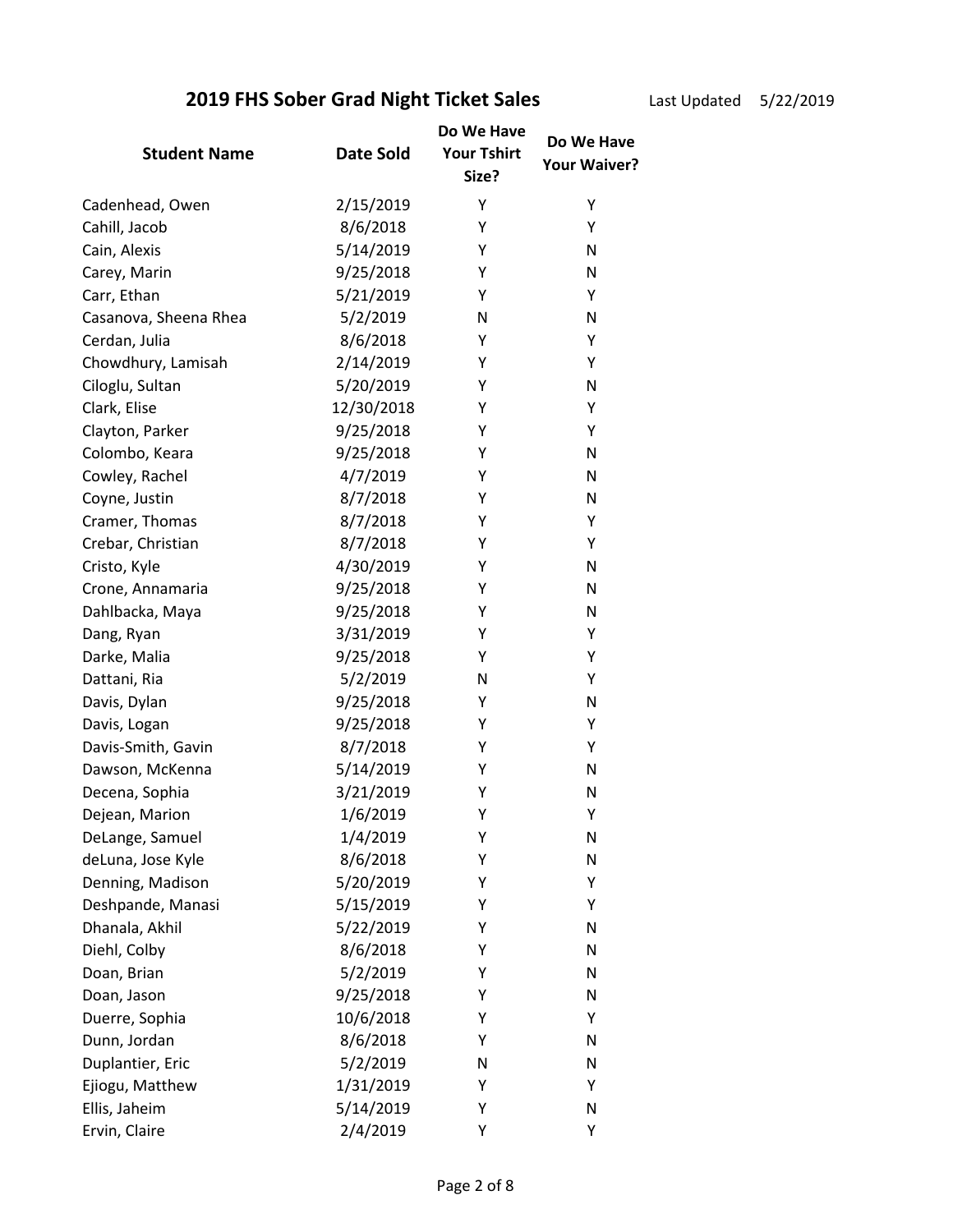Last Update

| ed | 5/22/2019 |  |
|----|-----------|--|
|    |           |  |

|                       |                  | Do We Have                  | Do We Have          |
|-----------------------|------------------|-----------------------------|---------------------|
| <b>Student Name</b>   | <b>Date Sold</b> | <b>Your Tshirt</b><br>Size? | <b>Your Waiver?</b> |
| Cadenhead, Owen       | 2/15/2019        | Υ                           | Υ                   |
| Cahill, Jacob         | 8/6/2018         | Y                           | Y                   |
| Cain, Alexis          | 5/14/2019        | Υ                           | N                   |
| Carey, Marin          | 9/25/2018        | Y                           | N                   |
| Carr, Ethan           | 5/21/2019        | Y                           | Υ                   |
| Casanova, Sheena Rhea | 5/2/2019         | N                           | N                   |
| Cerdan, Julia         | 8/6/2018         | Y                           | Υ                   |
| Chowdhury, Lamisah    | 2/14/2019        | Υ                           | Υ                   |
| Ciloglu, Sultan       | 5/20/2019        | Υ                           | N                   |
| Clark, Elise          | 12/30/2018       | Υ                           | Υ                   |
| Clayton, Parker       | 9/25/2018        | Y                           | Υ                   |
| Colombo, Keara        | 9/25/2018        | Y                           | N                   |
| Cowley, Rachel        | 4/7/2019         | Υ                           | N                   |
| Coyne, Justin         | 8/7/2018         | Υ                           | N                   |
| Cramer, Thomas        | 8/7/2018         | Υ                           | Υ                   |
| Crebar, Christian     | 8/7/2018         | Y                           | Υ                   |
| Cristo, Kyle          | 4/30/2019        | Y                           | N                   |
| Crone, Annamaria      | 9/25/2018        | Υ                           | N                   |
| Dahlbacka, Maya       | 9/25/2018        | Υ                           | N                   |
| Dang, Ryan            | 3/31/2019        | Υ                           | Υ                   |
| Darke, Malia          | 9/25/2018        | Υ                           | Υ                   |
| Dattani, Ria          | 5/2/2019         | N                           | Υ                   |
| Davis, Dylan          | 9/25/2018        | Y                           | N                   |
| Davis, Logan          | 9/25/2018        | Y                           | Υ                   |
| Davis-Smith, Gavin    | 8/7/2018         | Υ                           | Υ                   |
| Dawson, McKenna       | 5/14/2019        | Υ                           | N                   |
| Decena, Sophia        | 3/21/2019        | Υ                           | N                   |
| Dejean, Marion        | 1/6/2019         | Υ                           | Υ                   |
| DeLange, Samuel       | 1/4/2019         | Υ                           | N                   |
| deLuna, Jose Kyle     | 8/6/2018         | Υ                           | N                   |
| Denning, Madison      | 5/20/2019        | Υ                           | Υ                   |
| Deshpande, Manasi     | 5/15/2019        | Υ                           | Υ                   |
| Dhanala, Akhil        | 5/22/2019        | Y                           | N                   |
| Diehl, Colby          | 8/6/2018         | Υ                           | N                   |
| Doan, Brian           | 5/2/2019         | Υ                           | N                   |
| Doan, Jason           | 9/25/2018        | Y                           | N                   |
| Duerre, Sophia        | 10/6/2018        | Υ                           | Υ                   |
| Dunn, Jordan          | 8/6/2018         | Y                           | N                   |
| Duplantier, Eric      | 5/2/2019         | N                           | Ν                   |
| Ejiogu, Matthew       | 1/31/2019        | Y                           | Υ                   |
| Ellis, Jaheim         | 5/14/2019        | Υ                           | N                   |
| Ervin, Claire         | 2/4/2019         | Υ                           | Υ                   |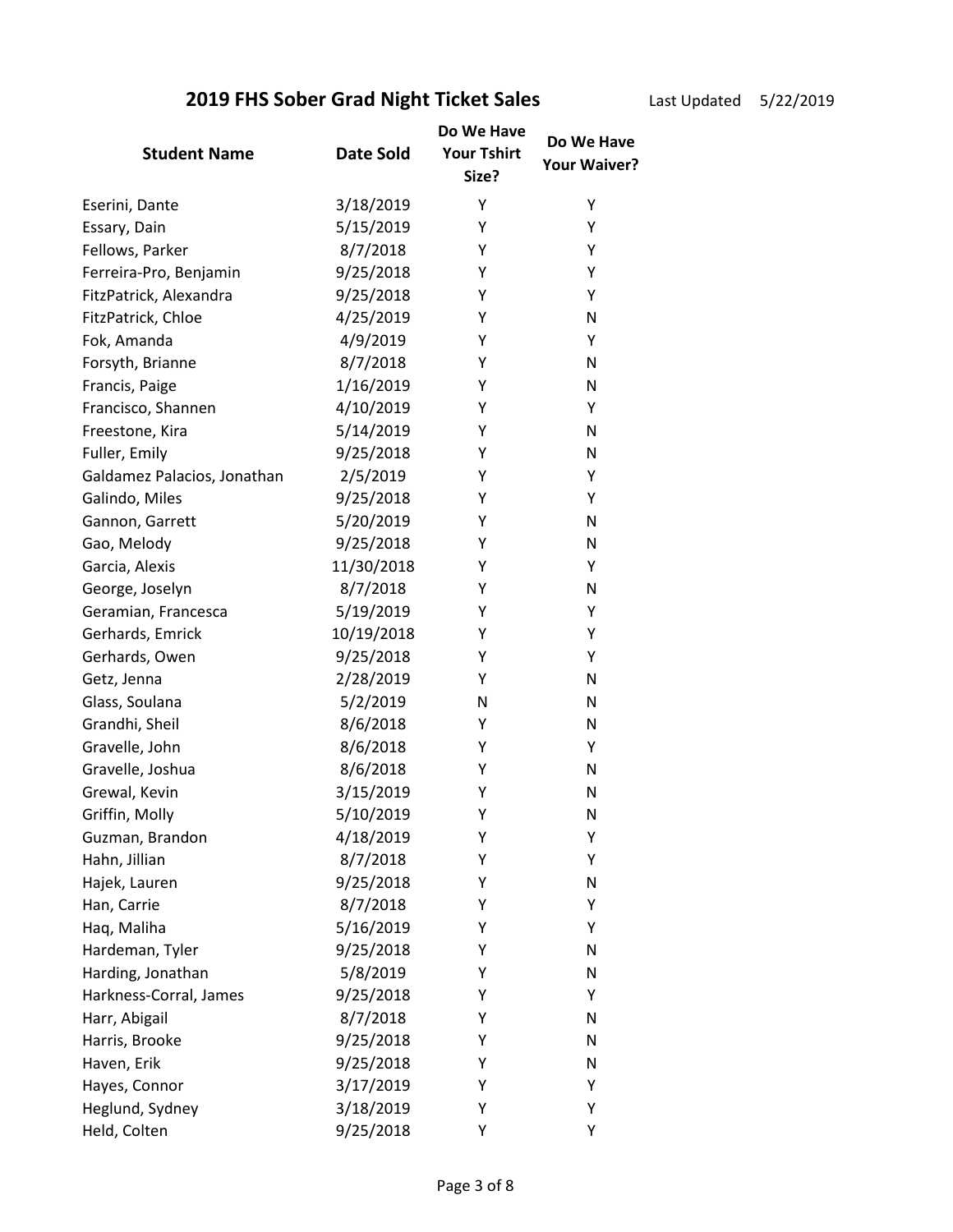### **2019 FHS Sober Grad Night Ticket Sales** Last Updated 5/22/2019

| эd | 5/22/2019 |  |
|----|-----------|--|
|    |           |  |

| <b>Student Name</b>         | Date Sold  | Do We Have<br><b>Your Tshirt</b><br>Size? | Do We Have<br><b>Your Waiver?</b> |
|-----------------------------|------------|-------------------------------------------|-----------------------------------|
| Eserini, Dante              | 3/18/2019  | Υ                                         | Υ                                 |
| Essary, Dain                | 5/15/2019  | Y                                         | Υ                                 |
| Fellows, Parker             | 8/7/2018   | Υ                                         | Υ                                 |
| Ferreira-Pro, Benjamin      | 9/25/2018  | Υ                                         | Υ                                 |
| FitzPatrick, Alexandra      | 9/25/2018  | Y                                         | Υ                                 |
| FitzPatrick, Chloe          | 4/25/2019  | Υ                                         | N                                 |
| Fok, Amanda                 | 4/9/2019   | Υ                                         | Υ                                 |
| Forsyth, Brianne            | 8/7/2018   | Υ                                         | N                                 |
| Francis, Paige              | 1/16/2019  | Υ                                         | N                                 |
| Francisco, Shannen          | 4/10/2019  | Υ                                         | Y                                 |
| Freestone, Kira             | 5/14/2019  | Υ                                         | N                                 |
| Fuller, Emily               | 9/25/2018  | Υ                                         | N                                 |
| Galdamez Palacios, Jonathan | 2/5/2019   | Υ                                         | Υ                                 |
| Galindo, Miles              | 9/25/2018  | Y                                         | Y                                 |
| Gannon, Garrett             | 5/20/2019  | Υ                                         | N                                 |
| Gao, Melody                 | 9/25/2018  | Υ                                         | N                                 |
| Garcia, Alexis              | 11/30/2018 | Υ                                         | Υ                                 |
| George, Joselyn             | 8/7/2018   | Υ                                         | N                                 |
| Geramian, Francesca         | 5/19/2019  | Υ                                         | Υ                                 |
| Gerhards, Emrick            | 10/19/2018 | Υ                                         | Υ                                 |
| Gerhards, Owen              | 9/25/2018  | Υ                                         | Υ                                 |
| Getz, Jenna                 | 2/28/2019  | Υ                                         | N                                 |
| Glass, Soulana              | 5/2/2019   | N                                         | N                                 |
| Grandhi, Sheil              | 8/6/2018   | Y                                         | N                                 |
| Gravelle, John              | 8/6/2018   | Υ                                         | Υ                                 |
| Gravelle, Joshua            | 8/6/2018   | Υ                                         | N                                 |
| Grewal, Kevin               | 3/15/2019  | Υ                                         | N                                 |
| Griffin, Molly              | 5/10/2019  | Υ                                         | N                                 |
| Guzman, Brandon             | 4/18/2019  | Υ                                         | Υ                                 |
| Hahn, Jillian               | 8/7/2018   | Υ                                         | Υ                                 |
| Hajek, Lauren               | 9/25/2018  | Υ                                         | N                                 |
| Han, Carrie                 | 8/7/2018   | Υ                                         | Υ                                 |
| Haq, Maliha                 | 5/16/2019  | Υ                                         | Υ                                 |
| Hardeman, Tyler             | 9/25/2018  | Υ                                         | N                                 |
| Harding, Jonathan           | 5/8/2019   | Υ                                         | N                                 |
| Harkness-Corral, James      | 9/25/2018  | Υ                                         | Υ                                 |
| Harr, Abigail               | 8/7/2018   | Υ                                         | N                                 |
| Harris, Brooke              | 9/25/2018  | Υ                                         | N                                 |
| Haven, Erik                 | 9/25/2018  | Υ                                         | N                                 |
| Hayes, Connor               | 3/17/2019  | Υ                                         | Y                                 |
| Heglund, Sydney             | 3/18/2019  | Υ                                         | Υ                                 |
| Held, Colten                | 9/25/2018  | Υ                                         | Υ                                 |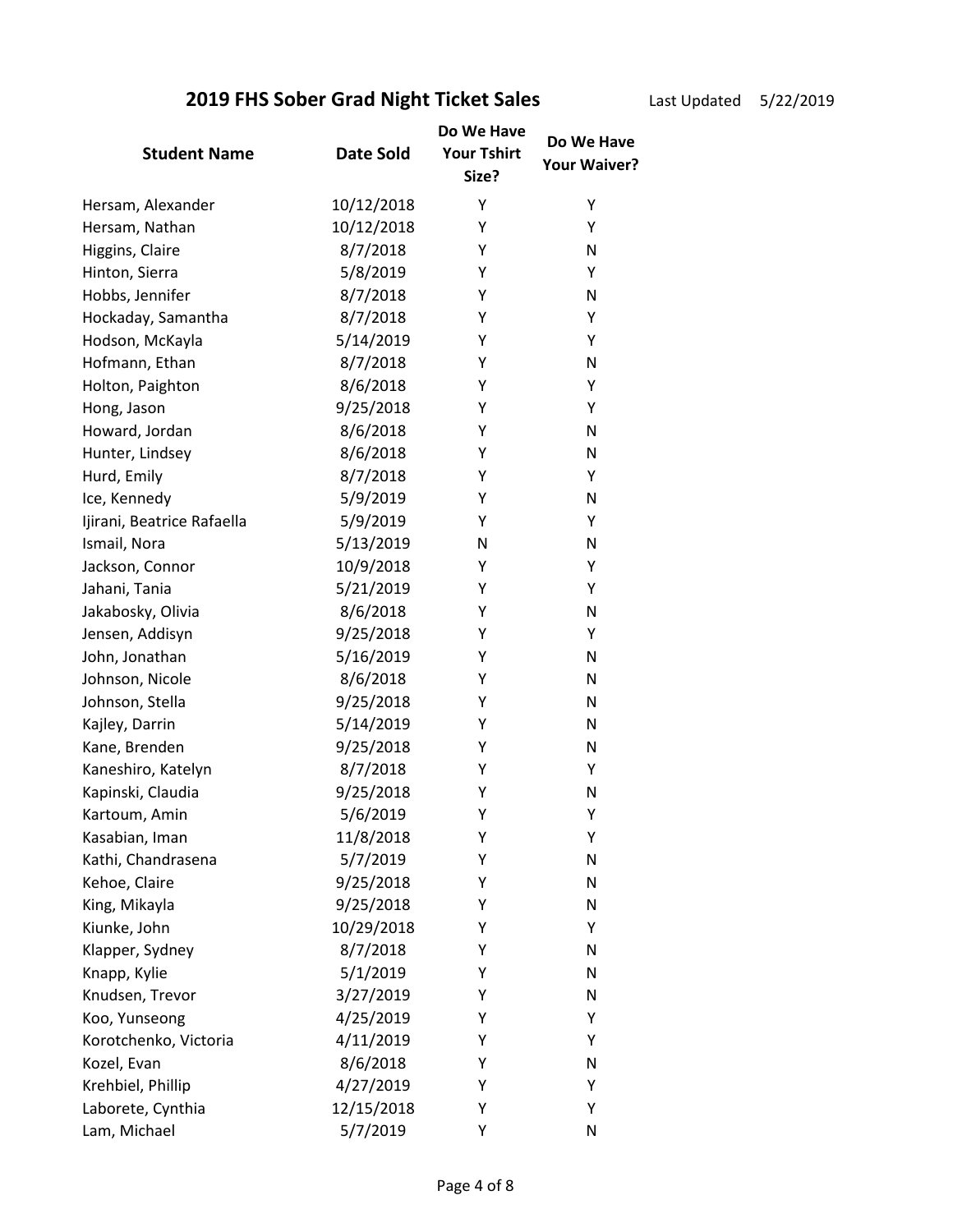Last Updated 5/22/2019

|                            |            | Do We Have         | Do We Have          |
|----------------------------|------------|--------------------|---------------------|
| <b>Student Name</b>        | Date Sold  | <b>Your Tshirt</b> | <b>Your Waiver?</b> |
|                            |            | Size?              |                     |
| Hersam, Alexander          | 10/12/2018 | Υ                  | Υ                   |
| Hersam, Nathan             | 10/12/2018 | Y                  | Υ                   |
| Higgins, Claire            | 8/7/2018   | Y                  | N                   |
| Hinton, Sierra             | 5/8/2019   | Y                  | Υ                   |
| Hobbs, Jennifer            | 8/7/2018   | Y                  | N                   |
| Hockaday, Samantha         | 8/7/2018   | Υ                  | Υ                   |
| Hodson, McKayla            | 5/14/2019  | Υ                  | Υ                   |
| Hofmann, Ethan             | 8/7/2018   | Υ                  | N                   |
| Holton, Paighton           | 8/6/2018   | Y                  | Υ                   |
| Hong, Jason                | 9/25/2018  | Υ                  | Υ                   |
| Howard, Jordan             | 8/6/2018   | Υ                  | $\mathsf{N}$        |
| Hunter, Lindsey            | 8/6/2018   | Y                  | $\mathsf{N}$        |
| Hurd, Emily                | 8/7/2018   | Υ                  | Υ                   |
| Ice, Kennedy               | 5/9/2019   | Υ                  | $\mathsf{N}$        |
| Ijirani, Beatrice Rafaella | 5/9/2019   | Y                  | Υ                   |
| Ismail, Nora               | 5/13/2019  | N                  | $\mathsf{N}$        |
| Jackson, Connor            | 10/9/2018  | Y                  | Υ                   |
| Jahani, Tania              | 5/21/2019  | Y                  | Υ                   |
| Jakabosky, Olivia          | 8/6/2018   | Υ                  | $\mathsf{N}$        |
| Jensen, Addisyn            | 9/25/2018  | Υ                  | Υ                   |
| John, Jonathan             | 5/16/2019  | Y                  | $\mathsf{N}$        |
| Johnson, Nicole            | 8/6/2018   | Y                  | N                   |
| Johnson, Stella            | 9/25/2018  | Υ                  | N                   |
| Kajley, Darrin             | 5/14/2019  | Y                  | $\mathsf{N}$        |
| Kane, Brenden              | 9/25/2018  | Υ                  | N                   |
| Kaneshiro, Katelyn         | 8/7/2018   | Υ                  | Υ                   |
| Kapinski, Claudia          | 9/25/2018  | Υ                  | N                   |
| Kartoum, Amin              | 5/6/2019   | Υ                  | Υ                   |
| Kasabian, Iman             | 11/8/2018  | Y                  | Υ                   |
| Kathi, Chandrasena         | 5/7/2019   | Υ                  | N                   |
| Kehoe, Claire              | 9/25/2018  | Υ                  | N                   |
| King, Mikayla              | 9/25/2018  | Υ                  | $\mathsf{N}$        |
| Kiunke, John               | 10/29/2018 | Y                  | Υ                   |
| Klapper, Sydney            | 8/7/2018   | Y                  | N                   |
| Knapp, Kylie               | 5/1/2019   | Y                  | N                   |
| Knudsen, Trevor            | 3/27/2019  | Y                  | N                   |
| Koo, Yunseong              | 4/25/2019  | Y                  | Υ                   |
| Korotchenko, Victoria      | 4/11/2019  | Y                  | Υ                   |
| Kozel, Evan                | 8/6/2018   | Y                  | N                   |
| Krehbiel, Phillip          | 4/27/2019  | Y                  | Υ                   |
| Laborete, Cynthia          | 12/15/2018 | Y                  | Υ                   |
| Lam, Michael               | 5/7/2019   | Υ                  | N                   |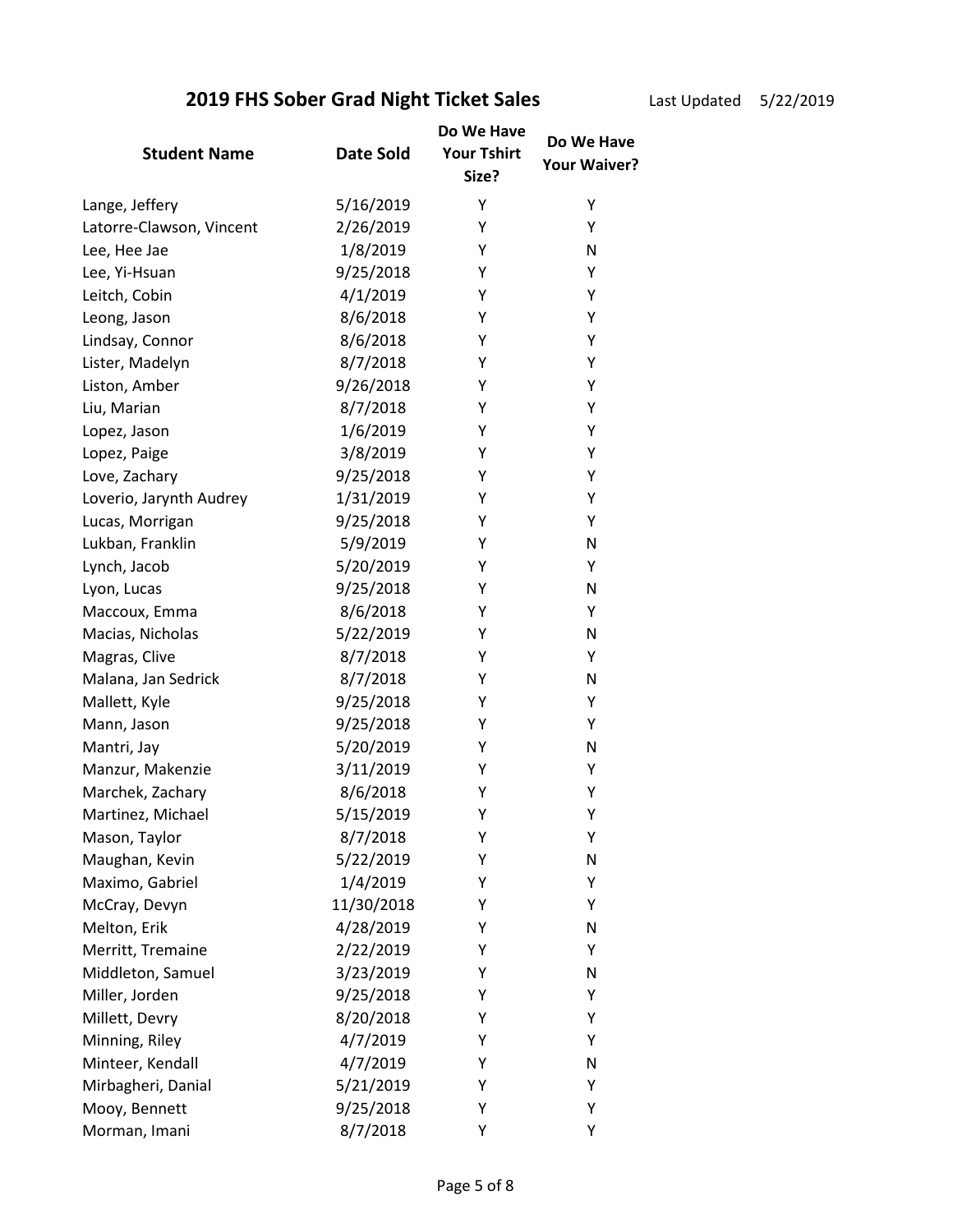Last Update

| ted | 5/22/2019 |  |
|-----|-----------|--|
|-----|-----------|--|

|                          |                  | Do We Have                  | Do We Have   |
|--------------------------|------------------|-----------------------------|--------------|
| <b>Student Name</b>      | <b>Date Sold</b> | <b>Your Tshirt</b><br>Size? | Your Waiver? |
| Lange, Jeffery           | 5/16/2019        | Υ                           | Υ            |
| Latorre-Clawson, Vincent | 2/26/2019        | Y                           | Y            |
| Lee, Hee Jae             | 1/8/2019         | Υ                           | N            |
| Lee, Yi-Hsuan            | 9/25/2018        | Υ                           | Υ            |
| Leitch, Cobin            | 4/1/2019         | Υ                           | Υ            |
| Leong, Jason             | 8/6/2018         | Υ                           | Υ            |
| Lindsay, Connor          | 8/6/2018         | Y                           | Υ            |
| Lister, Madelyn          | 8/7/2018         | Υ                           | Υ            |
| Liston, Amber            | 9/26/2018        | Υ                           | Υ            |
| Liu, Marian              | 8/7/2018         | Υ                           | Υ            |
| Lopez, Jason             | 1/6/2019         | Y                           | Υ            |
| Lopez, Paige             | 3/8/2019         | Y                           | Υ            |
| Love, Zachary            | 9/25/2018        | Υ                           | Υ            |
| Loverio, Jarynth Audrey  | 1/31/2019        | Υ                           | Υ            |
| Lucas, Morrigan          | 9/25/2018        | Υ                           | Υ            |
| Lukban, Franklin         | 5/9/2019         | Υ                           | N            |
| Lynch, Jacob             | 5/20/2019        | Y                           | Υ            |
| Lyon, Lucas              | 9/25/2018        | Y                           | N            |
| Maccoux, Emma            | 8/6/2018         | Υ                           | Υ            |
| Macias, Nicholas         | 5/22/2019        | Υ                           | N            |
| Magras, Clive            | 8/7/2018         | Y                           | Y            |
| Malana, Jan Sedrick      | 8/7/2018         | Y                           | N            |
| Mallett, Kyle            | 9/25/2018        | Υ                           | Υ            |
| Mann, Jason              | 9/25/2018        | Υ                           | Υ            |
| Mantri, Jay              | 5/20/2019        | Υ                           | N            |
| Manzur, Makenzie         | 3/11/2019        | Υ                           | Υ            |
| Marchek, Zachary         | 8/6/2018         | Υ                           | Υ            |
| Martinez, Michael        | 5/15/2019        | Υ                           | Υ            |
| Mason, Taylor            | 8/7/2018         | Υ                           | Υ            |
| Maughan, Kevin           | 5/22/2019        | Υ                           | N            |
| Maximo, Gabriel          | 1/4/2019         | Υ                           | Υ            |
| McCray, Devyn            | 11/30/2018       | Υ                           | Υ            |
| Melton, Erik             | 4/28/2019        | Y                           | N            |
| Merritt, Tremaine        | 2/22/2019        | Y                           | Υ            |
| Middleton, Samuel        | 3/23/2019        | Y                           | N            |
| Miller, Jorden           | 9/25/2018        | Υ                           | Υ            |
| Millett, Devry           | 8/20/2018        | Υ                           | Υ            |
| Minning, Riley           | 4/7/2019         | Υ                           | Υ            |
| Minteer, Kendall         | 4/7/2019         | Υ                           | Ν            |
| Mirbagheri, Danial       | 5/21/2019        | Y                           | Υ            |
| Mooy, Bennett            | 9/25/2018        | Υ                           | Υ            |
| Morman, Imani            | 8/7/2018         | Υ                           | Υ            |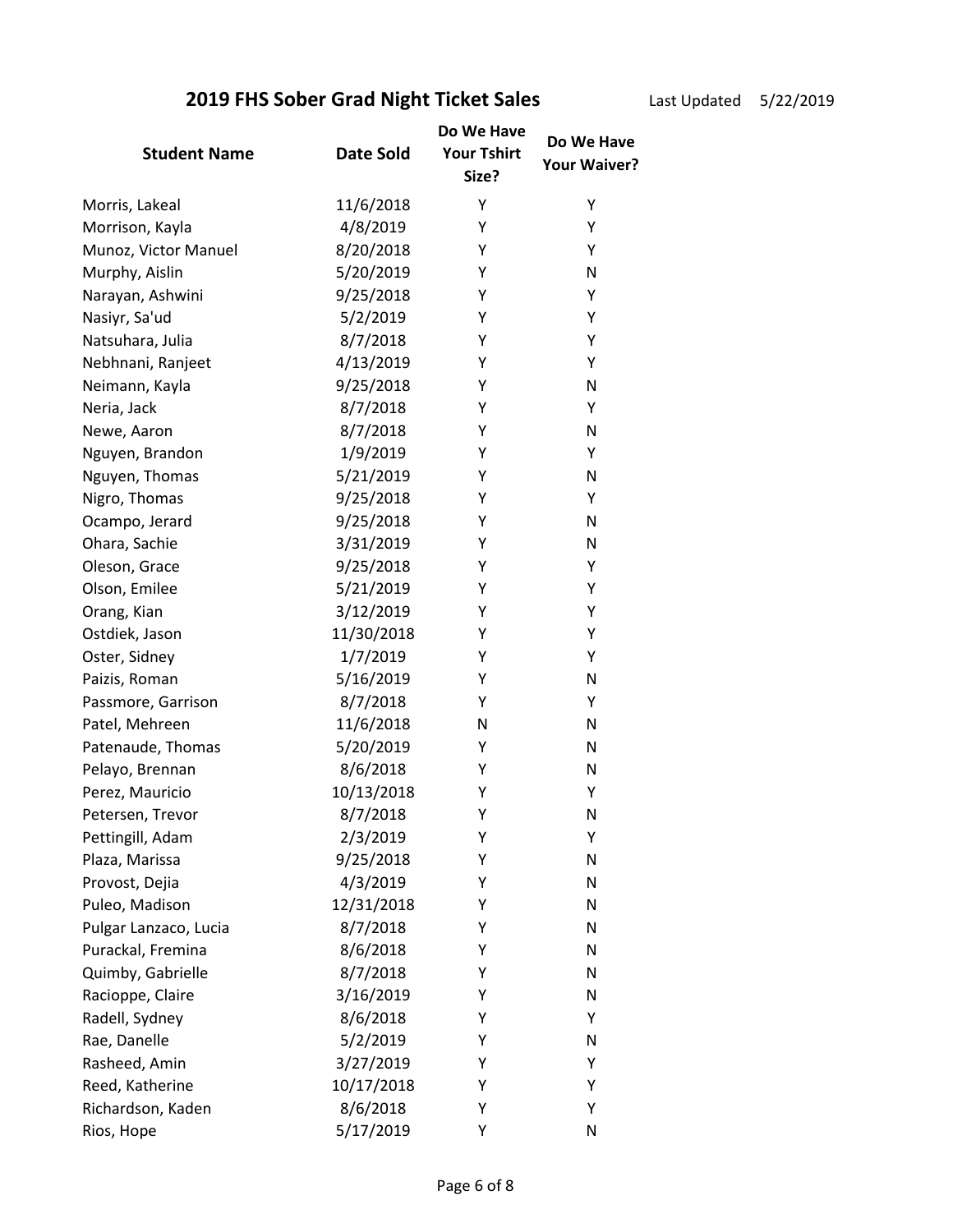Last Updated 5/22/2019

|                       |            | Do We Have                  | Do We Have   |
|-----------------------|------------|-----------------------------|--------------|
| <b>Student Name</b>   | Date Sold  | <b>Your Tshirt</b><br>Size? | Your Waiver? |
| Morris, Lakeal        | 11/6/2018  | Υ                           | Υ            |
| Morrison, Kayla       | 4/8/2019   | Y                           | Υ            |
| Munoz, Victor Manuel  | 8/20/2018  | Y                           | Y            |
| Murphy, Aislin        | 5/20/2019  | Υ                           | N            |
| Narayan, Ashwini      | 9/25/2018  | Y                           | Υ            |
| Nasiyr, Sa'ud         | 5/2/2019   | Υ                           | Υ            |
| Natsuhara, Julia      | 8/7/2018   | Υ                           | Υ            |
| Nebhnani, Ranjeet     | 4/13/2019  | Υ                           | Υ            |
| Neimann, Kayla        | 9/25/2018  | Υ                           | N            |
| Neria, Jack           | 8/7/2018   | Υ                           | Υ            |
| Newe, Aaron           | 8/7/2018   | Y                           | N            |
| Nguyen, Brandon       | 1/9/2019   | Υ                           | Υ            |
| Nguyen, Thomas        | 5/21/2019  | Υ                           | N            |
| Nigro, Thomas         | 9/25/2018  | Υ                           | Υ            |
| Ocampo, Jerard        | 9/25/2018  | Υ                           | N            |
| Ohara, Sachie         | 3/31/2019  | Υ                           | N            |
| Oleson, Grace         | 9/25/2018  | Y                           | Υ            |
| Olson, Emilee         | 5/21/2019  | Υ                           | Υ            |
| Orang, Kian           | 3/12/2019  | Υ                           | Υ            |
| Ostdiek, Jason        | 11/30/2018 | Υ                           | Υ            |
| Oster, Sidney         | 1/7/2019   | Υ                           | Υ            |
| Paizis, Roman         | 5/16/2019  | Y                           | N            |
| Passmore, Garrison    | 8/7/2018   | Υ                           | Υ            |
| Patel, Mehreen        | 11/6/2018  | $\mathsf{N}$                | N            |
| Patenaude, Thomas     | 5/20/2019  | Υ                           | N            |
| Pelayo, Brennan       | 8/6/2018   | Y                           | N            |
| Perez, Mauricio       | 10/13/2018 | Υ                           | Υ            |
| Petersen, Trevor      | 8/7/2018   | Υ                           | N            |
| Pettingill, Adam      | 2/3/2019   | Υ                           | Υ            |
| Plaza, Marissa        | 9/25/2018  | Υ                           | N            |
| Provost, Dejia        | 4/3/2019   | Υ                           | N            |
| Puleo, Madison        | 12/31/2018 | Υ                           | N            |
| Pulgar Lanzaco, Lucia | 8/7/2018   | Y                           | N            |
| Purackal, Fremina     | 8/6/2018   | Y                           | N            |
| Quimby, Gabrielle     | 8/7/2018   | Υ                           | N            |
| Racioppe, Claire      | 3/16/2019  | Y                           | N            |
| Radell, Sydney        | 8/6/2018   | Υ                           | Υ            |
| Rae, Danelle          | 5/2/2019   | Υ                           | N            |
| Rasheed, Amin         | 3/27/2019  | Υ                           | Υ            |
| Reed, Katherine       | 10/17/2018 | Υ                           | Υ            |
| Richardson, Kaden     | 8/6/2018   | Υ                           | Υ            |
| Rios, Hope            | 5/17/2019  | Υ                           | N            |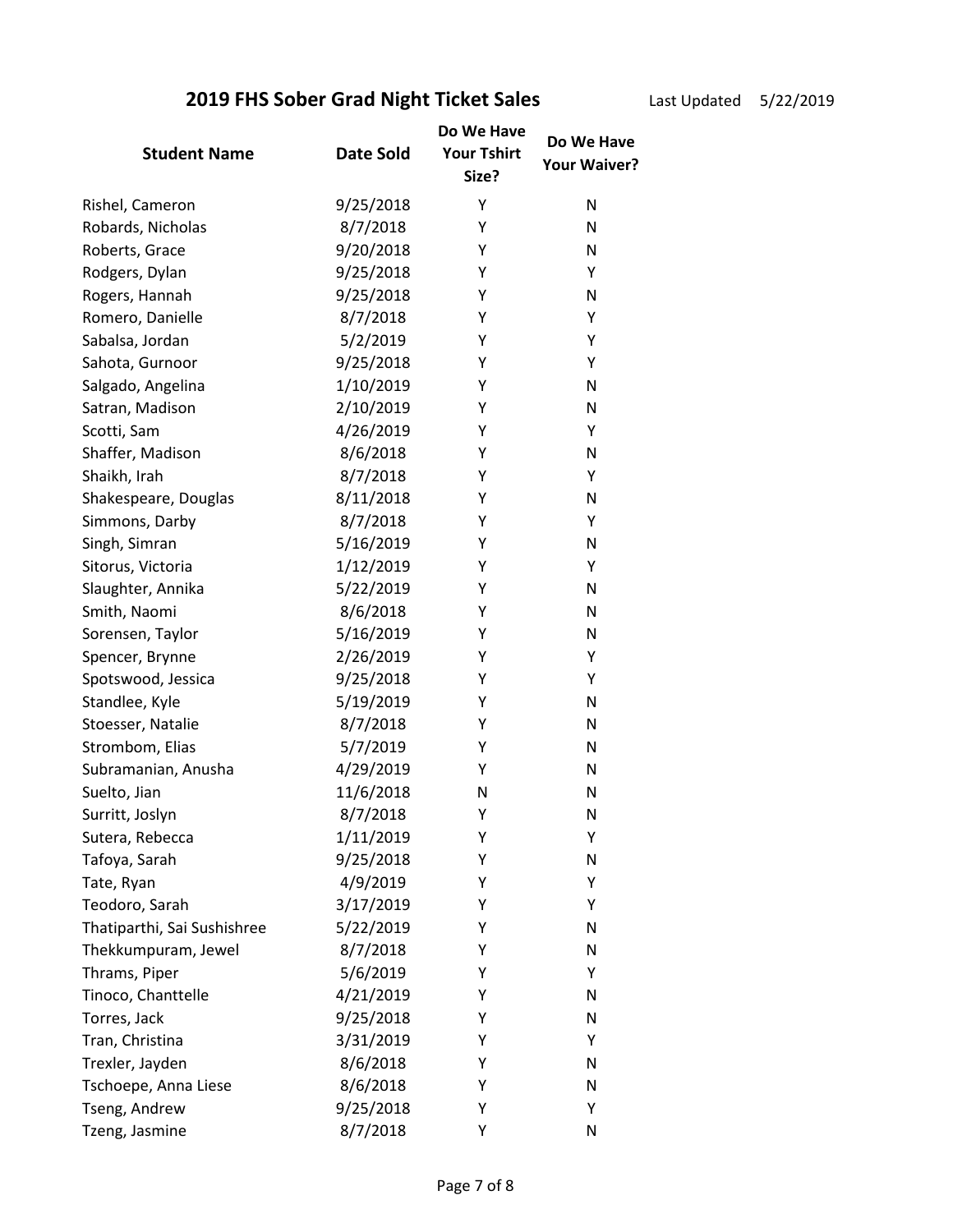Last Updated 5/22/2019

| <b>Student Name</b>         | <b>Date Sold</b> | Do We Have<br><b>Your Tshirt</b><br>Size? | Do We Have<br><b>Your Waiver?</b> |
|-----------------------------|------------------|-------------------------------------------|-----------------------------------|
| Rishel, Cameron             | 9/25/2018        | Υ                                         | N                                 |
| Robards, Nicholas           | 8/7/2018         | Υ                                         | N                                 |
| Roberts, Grace              | 9/20/2018        | Υ                                         | N                                 |
| Rodgers, Dylan              | 9/25/2018        | Υ                                         | Υ                                 |
| Rogers, Hannah              | 9/25/2018        | Υ                                         | N                                 |
| Romero, Danielle            | 8/7/2018         | Υ                                         | Υ                                 |
| Sabalsa, Jordan             | 5/2/2019         | Υ                                         | Υ                                 |
| Sahota, Gurnoor             | 9/25/2018        | Υ                                         | Y                                 |
| Salgado, Angelina           | 1/10/2019        | Υ                                         | N                                 |
| Satran, Madison             | 2/10/2019        | Υ                                         | N                                 |
| Scotti, Sam                 | 4/26/2019        | Y                                         | Υ                                 |
| Shaffer, Madison            | 8/6/2018         | Υ                                         | N                                 |
| Shaikh, Irah                | 8/7/2018         | Υ                                         | Υ                                 |
| Shakespeare, Douglas        | 8/11/2018        | Υ                                         | N                                 |
| Simmons, Darby              | 8/7/2018         | Υ                                         | Y                                 |
| Singh, Simran               | 5/16/2019        | Υ                                         | N                                 |
| Sitorus, Victoria           | 1/12/2019        | Υ                                         | Y                                 |
| Slaughter, Annika           | 5/22/2019        | Υ                                         | N                                 |
| Smith, Naomi                | 8/6/2018         | Υ                                         | N                                 |
| Sorensen, Taylor            | 5/16/2019        | Υ                                         | N                                 |
| Spencer, Brynne             | 2/26/2019        | Υ                                         | Y                                 |
| Spotswood, Jessica          | 9/25/2018        | Y                                         | Y                                 |
| Standlee, Kyle              | 5/19/2019        | Υ                                         | N                                 |
| Stoesser, Natalie           | 8/7/2018         | Υ                                         | N                                 |
| Strombom, Elias             | 5/7/2019         | Υ                                         | N                                 |
| Subramanian, Anusha         | 4/29/2019        | Υ                                         | N                                 |
| Suelto, Jian                | 11/6/2018        | N                                         | N                                 |
| Surritt, Joslyn             | 8/7/2018         | Υ                                         | N                                 |
| Sutera, Rebecca             | 1/11/2019        | Υ                                         | Υ                                 |
| Tafoya, Sarah               | 9/25/2018        | Υ                                         | N                                 |
| Tate, Ryan                  | 4/9/2019         | Υ                                         | Υ                                 |
| Teodoro, Sarah              | 3/17/2019        | Υ                                         | Υ                                 |
| Thatiparthi, Sai Sushishree | 5/22/2019        | Υ                                         | N                                 |
| Thekkumpuram, Jewel         | 8/7/2018         | Υ                                         | N                                 |
| Thrams, Piper               | 5/6/2019         | Υ                                         | Υ                                 |
| Tinoco, Chanttelle          | 4/21/2019        | Y                                         | N                                 |
| Torres, Jack                | 9/25/2018        | Υ                                         | N                                 |
| Tran, Christina             | 3/31/2019        | Υ                                         | Y                                 |
| Trexler, Jayden             | 8/6/2018         | Υ                                         | N                                 |
| Tschoepe, Anna Liese        | 8/6/2018         | Υ                                         | N                                 |
| Tseng, Andrew               | 9/25/2018        | Υ                                         | Υ                                 |
| Tzeng, Jasmine              | 8/7/2018         | Υ                                         | N                                 |